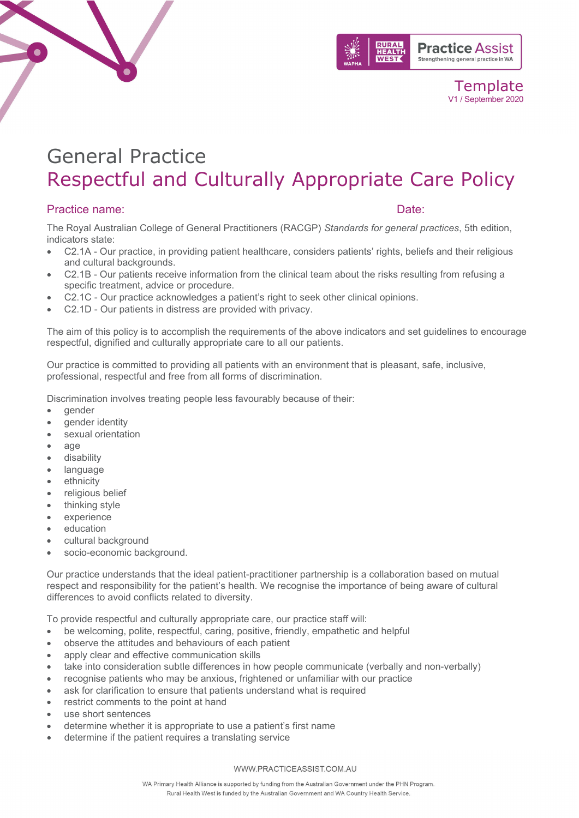



# General Practice Respectful and Culturally Appropriate Care Policy

# Practice name:  $\Box$

The Royal Australian College of General Practitioners (RACGP) *Standards for general practices*, 5th edition, indicators state:

- C2.1A Our practice, in providing patient healthcare, considers patients' rights, beliefs and their religious and cultural backgrounds.
- C2.1B Our patients receive information from the clinical team about the risks resulting from refusing a specific treatment, advice or procedure.
- C2.1C Our practice acknowledges a patient's right to seek other clinical opinions.
- C2.1D Our patients in distress are provided with privacy.

The aim of this policy is to accomplish the requirements of the above indicators and set guidelines to encourage respectful, dignified and culturally appropriate care to all our patients.

Our practice is committed to providing all patients with an environment that is pleasant, safe, inclusive, professional, respectful and free from all forms of discrimination.

Discrimination involves treating people less favourably because of their:

- gender
- gender identity
- sexual orientation
- age
- disability
- **language**
- ethnicity
- religious belief
- thinking style
- experience
- education
- cultural background
- socio-economic background.

Our practice understands that the ideal patient-practitioner partnership is a collaboration based on mutual respect and responsibility for the patient's health. We recognise the importance of being aware of cultural differences to avoid conflicts related to diversity.

To provide respectful and culturally appropriate care, our practice staff will:

- be welcoming, polite, respectful, caring, positive, friendly, empathetic and helpful
- observe the attitudes and behaviours of each patient
- apply clear and effective communication skills
- take into consideration subtle differences in how people communicate (verbally and non-verbally)
- recognise patients who may be anxious, frightened or unfamiliar with our practice
- ask for clarification to ensure that patients understand what is required
- restrict comments to the point at hand
- use short sentences
- determine whether it is appropriate to use a patient's first name
- determine if the patient requires a translating service

#### WWW.PRACTICEASSIST.COM.AU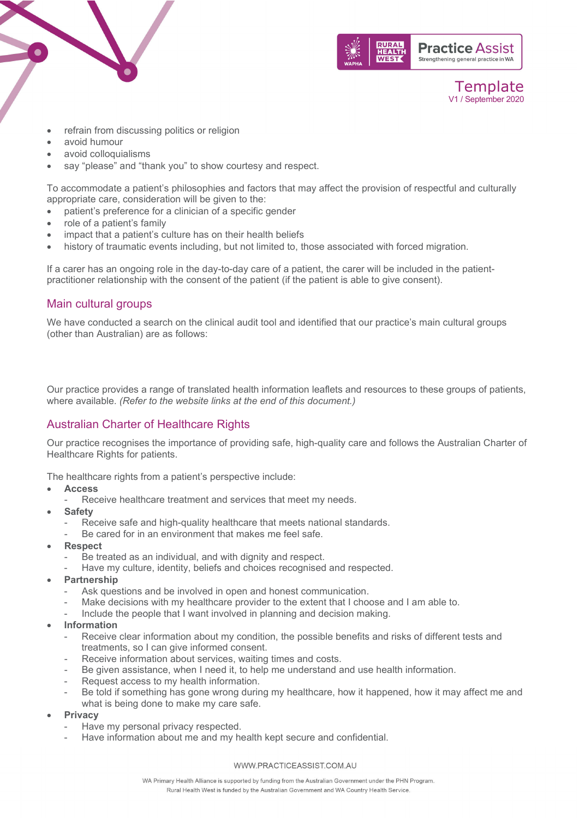



- refrain from discussing politics or religion
- avoid humour
- avoid colloquialisms
- say "please" and "thank you" to show courtesy and respect.

To accommodate a patient's philosophies and factors that may affect the provision of respectful and culturally appropriate care, consideration will be given to the:

- patient's preference for a clinician of a specific gender
- role of a patient's family
- impact that a patient's culture has on their health beliefs
- history of traumatic events including, but not limited to, those associated with forced migration.

If a carer has an ongoing role in the day-to-day care of a patient, the carer will be included in the patientpractitioner relationship with the consent of the patient (if the patient is able to give consent).

#### Main cultural groups

We have conducted a search on the clinical audit tool and identified that our practice's main cultural groups (other than Australian) are as follows:

Our practice provides a range of translated health information leaflets and resources to these groups of patients, where available. *(Refer to the website links at the end of this document.)* 

#### Australian Charter of Healthcare Rights

Our practice recognises the importance of providing safe, high-quality care and follows the Australian Charter of Healthcare Rights for patients.

The healthcare rights from a patient's perspective include:

- **Access**
	- Receive healthcare treatment and services that meet my needs.
- **Safety**
	- Receive safe and high-quality healthcare that meets national standards.
	- Be cared for in an environment that makes me feel safe.
- **Respect**
	- Be treated as an individual, and with dignity and respect.
	- Have my culture, identity, beliefs and choices recognised and respected.
- **Partnership**
	- Ask questions and be involved in open and honest communication.
	- Make decisions with my healthcare provider to the extent that I choose and I am able to.
	- Include the people that I want involved in planning and decision making.
- **Information**
	- Receive clear information about my condition, the possible benefits and risks of different tests and treatments, so I can give informed consent.
	- Receive information about services, waiting times and costs.
	- Be given assistance, when I need it, to help me understand and use health information.
	- Request access to my health information.
	- Be told if something has gone wrong during my healthcare, how it happened, how it may affect me and what is being done to make my care safe.
- **Privacy**
	- Have my personal privacy respected.
	- Have information about me and my health kept secure and confidential.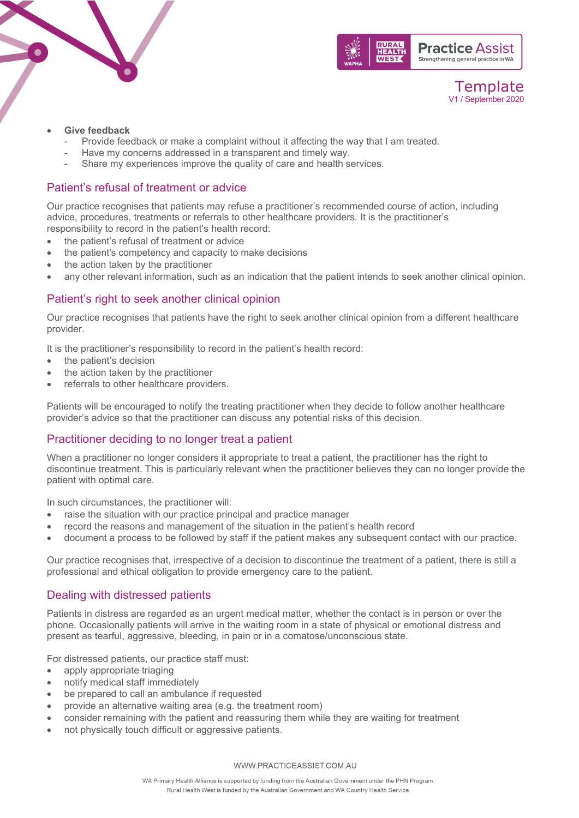



Template V1 / September 2020

#### • **Give feedback**

- Provide feedback or make a complaint without it affecting the way that I am treated.
- Have my concerns addressed in a transparent and timely way.
- Share my experiences improve the quality of care and health services.

#### Patient's refusal of treatment or advice

Our practice recognises that patients may refuse a practitioner's recommended course of action, including advice, procedures, treatments or referrals to other healthcare providers. It is the practitioner's responsibility to record in the patient's health record:

- the patient's refusal of treatment or advice
- the patient's competency and capacity to make decisions
- the action taken by the practitioner
- any other relevant information, such as an indication that the patient intends to seek another clinical opinion.

### Patient's right to seek another clinical opinion

Our practice recognises that patients have the right to seek another clinical opinion from a different healthcare provider.

It is the practitioner's responsibility to record in the patient's health record:

- the patient's decision
- the action taken by the practitioner
- referrals to other healthcare providers.

Patients will be encouraged to notify the treating practitioner when they decide to follow another healthcare provider's advice so that the practitioner can discuss any potential risks of this decision.

#### Practitioner deciding to no longer treat a patient

When a practitioner no longer considers it appropriate to treat a patient, the practitioner has the right to discontinue treatment. This is particularly relevant when the practitioner believes they can no longer provide the patient with optimal care.

In such circumstances, the practitioner will:

- raise the situation with our practice principal and practice manager
- record the reasons and management of the situation in the patient's health record
- document a process to be followed by staff if the patient makes any subsequent contact with our practice.

Our practice recognises that, irrespective of a decision to discontinue the treatment of a patient, there is still a professional and ethical obligation to provide emergency care to the patient.

#### Dealing with distressed patients

Patients in distress are regarded as an urgent medical matter, whether the contact is in person or over the phone. Occasionally patients will arrive in the waiting room in a state of physical or emotional distress and present as tearful, aggressive, bleeding, in pain or in a comatose/unconscious state.

For distressed patients, our practice staff must:

- apply appropriate triaging
- notify medical staff immediately
- be prepared to call an ambulance if requested
- provide an alternative waiting area (e.g. the treatment room)
- consider remaining with the patient and reassuring them while they are waiting for treatment
- not physically touch difficult or aggressive patients.

WWW.PRACTICEASSIST.COM.AU